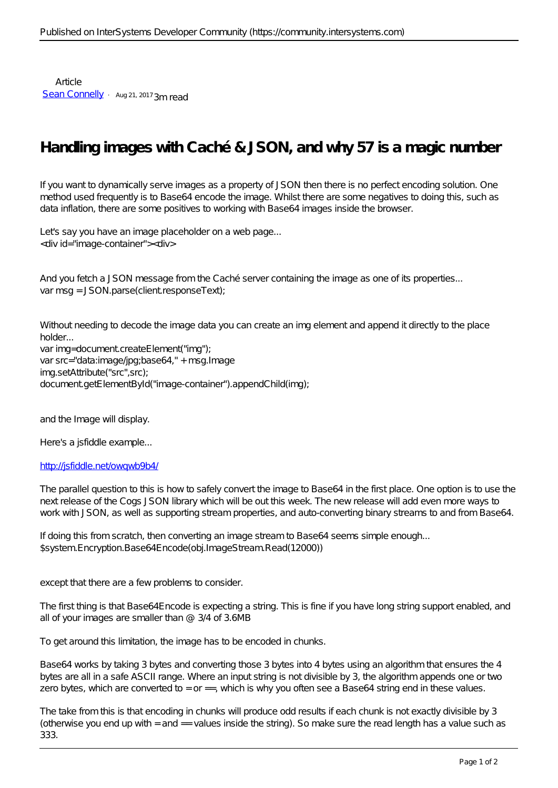Article [Sean Connelly](https://community.intersystems.com/user/sean-connelly) · Aug 21, 2017 3m read

## **Handling images with Caché & JSON, and why 57 is a magic number**

If you want to dynamically serve images as a property of JSON then there is no perfect encoding solution. One method used frequently is to Base64 encode the image. Whilst there are some negatives to doing this, such as data inflation, there are some positives to working with Base64 images inside the browser.

Let's say you have an image placeholder on a web page... <div id="image-container"><div>

And you fetch a JSON message from the Caché server containing the image as one of its properties... var msg = JSON.parse(clientresponseText);

Without needing to decode the image data you can create an img element and append it directly to the place holder...

var img=document.createElement("img"); var src="data:image/jpg;base64," + msg.Image img.setAttribute("src",src); document getElementById("image-container").appendChild(img);

and the Image will display.

Here's a jsfiddle example...

## http://sfiddle.net/owgwb9b4/

The parallel question to this is how to safely convert the image to Base64 in the first place. One option is to use the next release of the Cogs JSON library which will be out this week. The new release will add even more ways to work with JSON, as well as supporting stream properties, and auto-converting binary streams to and from Base64.

If doing this from scratch, then converting an image stream to Base64 seems simple enough... \$system.Encryption.Base64Encode(obj.ImageStream.Read(12000))

except that there are a few problems to consider.

The first thing is that Base64Encode is expecting a string. This is fine if you have long string support enabled, and all of your images are smaller than @ 3/4 of 3.6MB

To get around this limitation, the image has to be encoded in chunks.

Base64 works by taking 3 bytes and converting those 3 bytes into 4 bytes using an algorithm that ensures the 4 bytes are all in a safe ASCII range. Where an input string is not divisible by 3, the algorithm appends one or two zero bytes, which are converted to  $=$  or  $==$ , which is why you often see a Base64 string end in these values.

The take from this is that encoding in chunks will produce odd results if each chunk is not exactly divisible by 3 (otherwise you end up with  $=$  and  $==$  values inside the string). So make sure the read length has a value such as 333.